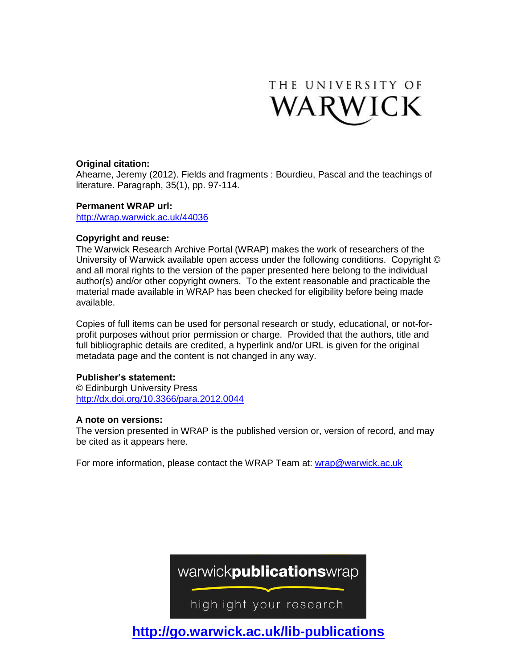

# **Original citation:**

Ahearne, Jeremy (2012). Fields and fragments : Bourdieu, Pascal and the teachings of literature. Paragraph, 35(1), pp. 97-114.

# **Permanent WRAP url:**

<http://wrap.warwick.ac.uk/44036>

# **Copyright and reuse:**

The Warwick Research Archive Portal (WRAP) makes the work of researchers of the University of Warwick available open access under the following conditions. Copyright © and all moral rights to the version of the paper presented here belong to the individual author(s) and/or other copyright owners. To the extent reasonable and practicable the material made available in WRAP has been checked for eligibility before being made available.

Copies of full items can be used for personal research or study, educational, or not-forprofit purposes without prior permission or charge. Provided that the authors, title and full bibliographic details are credited, a hyperlink and/or URL is given for the original metadata page and the content is not changed in any way.

# **Publisher's statement:**

© Edinburgh University Press <http://dx.doi.org/10.3366/para.2012.0044>

# **A note on versions:**

The version presented in WRAP is the published version or, version of record, and may be cited as it appears here.

For more information, please contact the WRAP Team at: [wrap@warwick.ac.uk](mailto:wrap@warwick.ac.uk)

# warwickpublicationswrap

highlight your research

**http://go.warwick.ac.uk/lib-publications**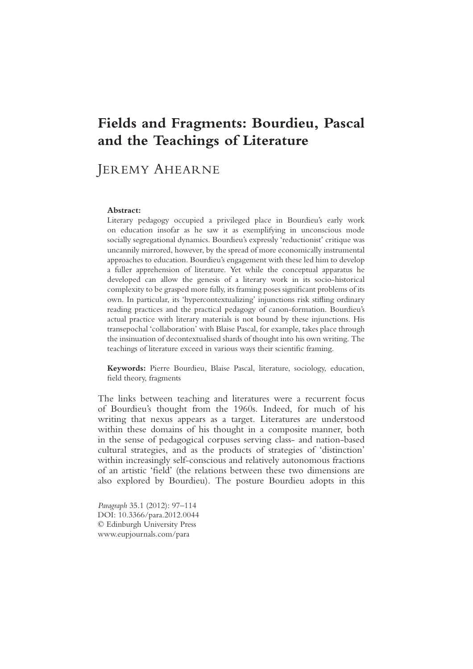# **Fields and Fragments: Bourdieu, Pascal and the Teachings of Literature**

# JEREMY AHEARNE

#### **Abstract:**

Literary pedagogy occupied a privileged place in Bourdieu's early work on education insofar as he saw it as exemplifying in unconscious mode socially segregational dynamics. Bourdieu's expressly 'reductionist' critique was uncannily mirrored, however, by the spread of more economically instrumental approaches to education. Bourdieu's engagement with these led him to develop a fuller apprehension of literature. Yet while the conceptual apparatus he developed can allow the genesis of a literary work in its socio-historical complexity to be grasped more fully, its framing poses significant problems of its own. In particular, its 'hypercontextualizing' injunctions risk stifling ordinary reading practices and the practical pedagogy of canon-formation. Bourdieu's actual practice with literary materials is not bound by these injunctions. His transepochal 'collaboration' with Blaise Pascal, for example, takes place through the insinuation of decontextualised shards of thought into his own writing. The teachings of literature exceed in various ways their scientific framing.

**Keywords:** Pierre Bourdieu, Blaise Pascal, literature, sociology, education, field theory, fragments

The links between teaching and literatures were a recurrent focus of Bourdieu's thought from the 1960s. Indeed, for much of his writing that nexus appears as a target. Literatures are understood within these domains of his thought in a composite manner, both in the sense of pedagogical corpuses serving class- and nation-based cultural strategies, and as the products of strategies of 'distinction' within increasingly self-conscious and relatively autonomous fractions of an artistic 'field' (the relations between these two dimensions are also explored by Bourdieu). The posture Bourdieu adopts in this

*Paragraph* 35.1 (2012): 97–114 DOI: 10.3366/para.2012.0044 © Edinburgh University Press www.eupjournals.com/para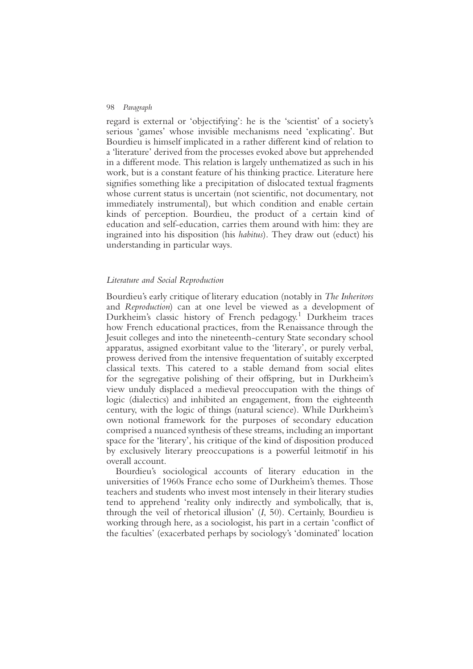regard is external or 'objectifying': he is the 'scientist' of a society's serious 'games' whose invisible mechanisms need 'explicating'. But Bourdieu is himself implicated in a rather different kind of relation to a 'literature' derived from the processes evoked above but apprehended in a different mode. This relation is largely unthematized as such in his work, but is a constant feature of his thinking practice. Literature here signifies something like a precipitation of dislocated textual fragments whose current status is uncertain (not scientific, not documentary, not immediately instrumental), but which condition and enable certain kinds of perception. Bourdieu, the product of a certain kind of education and self-education, carries them around with him: they are ingrained into his disposition (his *habitus*). They draw out (educt) his understanding in particular ways.

#### *Literature and Social Reproduction*

Bourdieu's early critique of literary education (notably in *The Inheritors* and *Reproduction*) can at one level be viewed as a development of Durkheim's classic history of French pedagogy.<sup>1</sup> Durkheim traces how French educational practices, from the Renaissance through the Jesuit colleges and into the nineteenth-century State secondary school apparatus, assigned exorbitant value to the 'literary', or purely verbal, prowess derived from the intensive frequentation of suitably excerpted classical texts. This catered to a stable demand from social elites for the segregative polishing of their offspring, but in Durkheim's view unduly displaced a medieval preoccupation with the things of logic (dialectics) and inhibited an engagement, from the eighteenth century, with the logic of things (natural science). While Durkheim's own notional framework for the purposes of secondary education comprised a nuanced synthesis of these streams, including an important space for the 'literary', his critique of the kind of disposition produced by exclusively literary preoccupations is a powerful leitmotif in his overall account.

Bourdieu's sociological accounts of literary education in the universities of 1960s France echo some of Durkheim's themes. Those teachers and students who invest most intensely in their literary studies tend to apprehend 'reality only indirectly and symbolically, that is, through the veil of rhetorical illusion' (*I*, 50). Certainly, Bourdieu is working through here, as a sociologist, his part in a certain 'conflict of the faculties' (exacerbated perhaps by sociology's 'dominated' location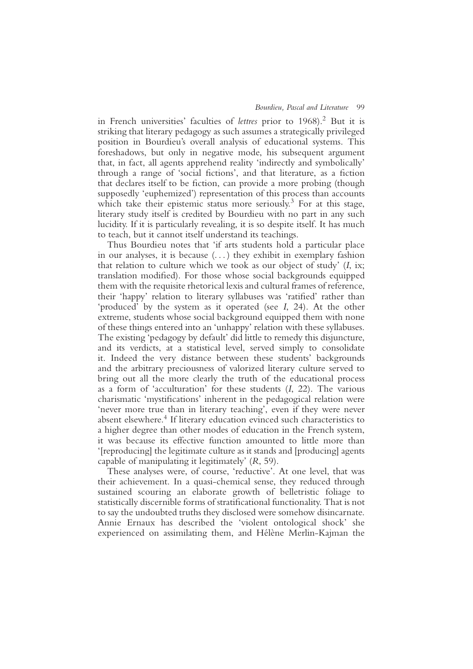in French universities' faculties of *lettres* prior to 1968).2 But it is striking that literary pedagogy as such assumes a strategically privileged position in Bourdieu's overall analysis of educational systems. This foreshadows, but only in negative mode, his subsequent argument that, in fact, all agents apprehend reality 'indirectly and symbolically' through a range of 'social fictions', and that literature, as a fiction that declares itself to be fiction, can provide a more probing (though supposedly 'euphemized') representation of this process than accounts which take their epistemic status more seriously.<sup>3</sup> For at this stage, literary study itself is credited by Bourdieu with no part in any such lucidity. If it is particularly revealing, it is so despite itself. It has much to teach, but it cannot itself understand its teachings.

Thus Bourdieu notes that 'if arts students hold a particular place in our analyses, it is because  $(\ldots)$  they exhibit in exemplary fashion that relation to culture which we took as our object of study' (*I*, ix; translation modified). For those whose social backgrounds equipped them with the requisite rhetorical lexis and cultural frames of reference, their 'happy' relation to literary syllabuses was 'ratified' rather than 'produced' by the system as it operated (see *I*, 24). At the other extreme, students whose social background equipped them with none of these things entered into an 'unhappy' relation with these syllabuses. The existing 'pedagogy by default' did little to remedy this disjuncture, and its verdicts, at a statistical level, served simply to consolidate it. Indeed the very distance between these students' backgrounds and the arbitrary preciousness of valorized literary culture served to bring out all the more clearly the truth of the educational process as a form of 'acculturation' for these students (*I*, 22). The various charismatic 'mystifications' inherent in the pedagogical relation were 'never more true than in literary teaching', even if they were never absent elsewhere.<sup>4</sup> If literary education evinced such characteristics to a higher degree than other modes of education in the French system, it was because its effective function amounted to little more than '[reproducing] the legitimate culture as it stands and [producing] agents capable of manipulating it legitimately' (*R*, 59).

These analyses were, of course, 'reductive'. At one level, that was their achievement. In a quasi-chemical sense, they reduced through sustained scouring an elaborate growth of belletristic foliage to statistically discernible forms of stratificational functionality. That is not to say the undoubted truths they disclosed were somehow disincarnate. Annie Ernaux has described the 'violent ontological shock' she experienced on assimilating them, and Hélène Merlin-Kajman the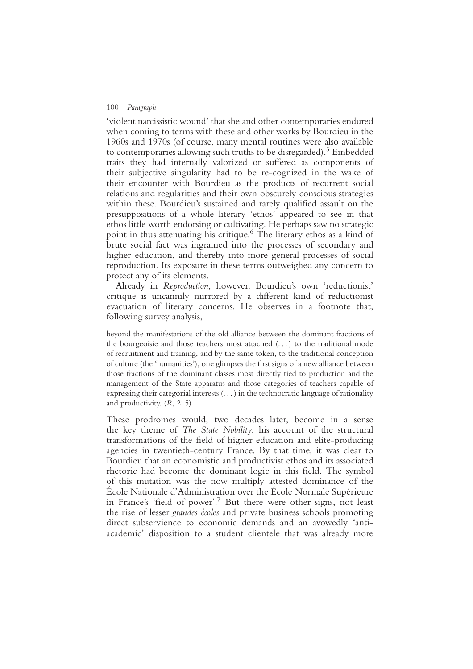'violent narcissistic wound' that she and other contemporaries endured when coming to terms with these and other works by Bourdieu in the 1960s and 1970s (of course, many mental routines were also available to contemporaries allowing such truths to be disregarded).<sup>5</sup> Embedded traits they had internally valorized or suffered as components of their subjective singularity had to be re-cognized in the wake of their encounter with Bourdieu as the products of recurrent social relations and regularities and their own obscurely conscious strategies within these. Bourdieu's sustained and rarely qualified assault on the presuppositions of a whole literary 'ethos' appeared to see in that ethos little worth endorsing or cultivating. He perhaps saw no strategic point in thus attenuating his critique.<sup>6</sup> The literary ethos as a kind of brute social fact was ingrained into the processes of secondary and higher education, and thereby into more general processes of social reproduction. Its exposure in these terms outweighed any concern to protect any of its elements.

Already in *Reproduction*, however, Bourdieu's own 'reductionist' critique is uncannily mirrored by a different kind of reductionist evacuation of literary concerns. He observes in a footnote that, following survey analysis,

beyond the manifestations of the old alliance between the dominant fractions of the bourgeoisie and those teachers most attached (. . . ) to the traditional mode of recruitment and training, and by the same token, to the traditional conception of culture (the 'humanities'), one glimpses the first signs of a new alliance between those fractions of the dominant classes most directly tied to production and the management of the State apparatus and those categories of teachers capable of expressing their categorial interests (. . . ) in the technocratic language of rationality and productivity. (*R*, 215)

These prodromes would, two decades later, become in a sense the key theme of *The State Nobility*, his account of the structural transformations of the field of higher education and elite-producing agencies in twentieth-century France. By that time, it was clear to Bourdieu that an economistic and productivist ethos and its associated rhetoric had become the dominant logic in this field. The symbol of this mutation was the now multiply attested dominance of the École Nationale d'Administration over the École Normale Supérieure in France's 'field of power'.<sup>7</sup> But there were other signs, not least the rise of lesser *grandes écoles* and private business schools promoting direct subservience to economic demands and an avowedly 'antiacademic' disposition to a student clientele that was already more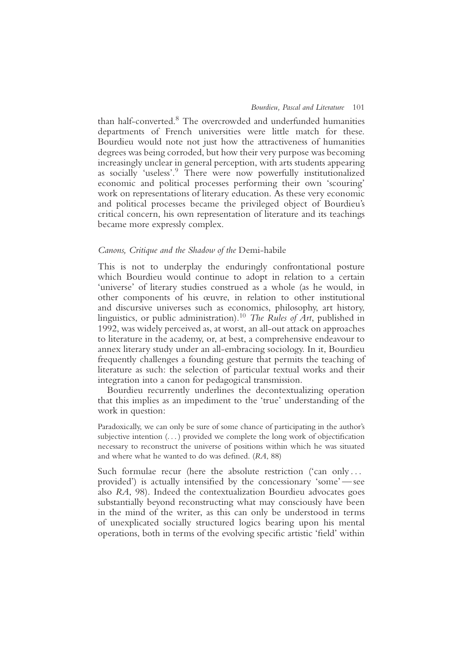than half-converted.8 The overcrowded and underfunded humanities departments of French universities were little match for these. Bourdieu would note not just how the attractiveness of humanities degrees was being corroded, but how their very purpose was becoming increasingly unclear in general perception, with arts students appearing as socially 'useless'.<sup>9</sup> There were now powerfully institutionalized economic and political processes performing their own 'scouring' work on representations of literary education. As these very economic and political processes became the privileged object of Bourdieu's critical concern, his own representation of literature and its teachings became more expressly complex.

#### *Canons, Critique and the Shadow of the* Demi-habile

This is not to underplay the enduringly confrontational posture which Bourdieu would continue to adopt in relation to a certain 'universe' of literary studies construed as a whole (as he would, in other components of his œuvre, in relation to other institutional and discursive universes such as economics, philosophy, art history, linguistics, or public administration).<sup>10</sup> *The Rules of Art*, published in 1992, was widely perceived as, at worst, an all-out attack on approaches to literature in the academy, or, at best, a comprehensive endeavour to annex literary study under an all-embracing sociology. In it, Bourdieu frequently challenges a founding gesture that permits the teaching of literature as such: the selection of particular textual works and their integration into a canon for pedagogical transmission.

Bourdieu recurrently underlines the decontextualizing operation that this implies as an impediment to the 'true' understanding of the work in question:

Paradoxically, we can only be sure of some chance of participating in the author's subjective intention  $(\ldots)$  provided we complete the long work of objectification necessary to reconstruct the universe of positions within which he was situated and where what he wanted to do was defined. (*RA*, 88)

Such formulae recur (here the absolute restriction ('can only... provided') is actually intensified by the concessionary 'some'— see also *RA*, 98). Indeed the contextualization Bourdieu advocates goes substantially beyond reconstructing what may consciously have been in the mind of the writer, as this can only be understood in terms of unexplicated socially structured logics bearing upon his mental operations, both in terms of the evolving specific artistic 'field' within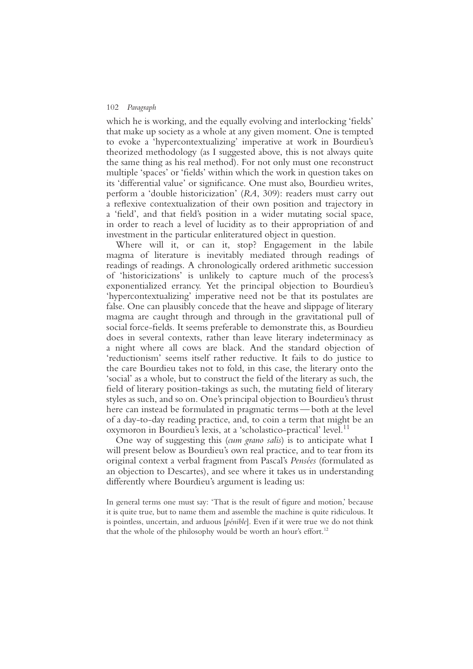which he is working, and the equally evolving and interlocking 'fields' that make up society as a whole at any given moment. One is tempted to evoke a 'hypercontextualizing' imperative at work in Bourdieu's theorized methodology (as I suggested above, this is not always quite the same thing as his real method). For not only must one reconstruct multiple 'spaces' or 'fields' within which the work in question takes on its 'differential value' or significance. One must also, Bourdieu writes, perform a 'double historicization' (*RA*, 309): readers must carry out a reflexive contextualization of their own position and trajectory in a 'field', and that field's position in a wider mutating social space, in order to reach a level of lucidity as to their appropriation of and investment in the particular enliteratured object in question.

Where will it, or can it, stop? Engagement in the labile magma of literature is inevitably mediated through readings of readings of readings. A chronologically ordered arithmetic succession of 'historicizations' is unlikely to capture much of the process's exponentialized errancy. Yet the principal objection to Bourdieu's 'hypercontextualizing' imperative need not be that its postulates are false. One can plausibly concede that the heave and slippage of literary magma are caught through and through in the gravitational pull of social force-fields. It seems preferable to demonstrate this, as Bourdieu does in several contexts, rather than leave literary indeterminacy as a night where all cows are black. And the standard objection of 'reductionism' seems itself rather reductive. It fails to do justice to the care Bourdieu takes not to fold, in this case, the literary onto the 'social' as a whole, but to construct the field of the literary as such, the field of literary position-takings as such, the mutating field of literary styles as such, and so on. One's principal objection to Bourdieu's thrust here can instead be formulated in pragmatic terms— both at the level of a day-to-day reading practice, and, to coin a term that might be an oxymoron in Bourdieu's lexis, at a 'scholastico-practical' level.<sup>11</sup>

One way of suggesting this (*cum grano salis*) is to anticipate what I will present below as Bourdieu's own real practice, and to tear from its original context a verbal fragment from Pascal's *Pensées* (formulated as an objection to Descartes), and see where it takes us in understanding differently where Bourdieu's argument is leading us:

In general terms one must say: 'That is the result of figure and motion,' because it is quite true, but to name them and assemble the machine is quite ridiculous. It is pointless, uncertain, and arduous [*pénible*]. Even if it were true we do not think that the whole of the philosophy would be worth an hour's effort.<sup>12</sup>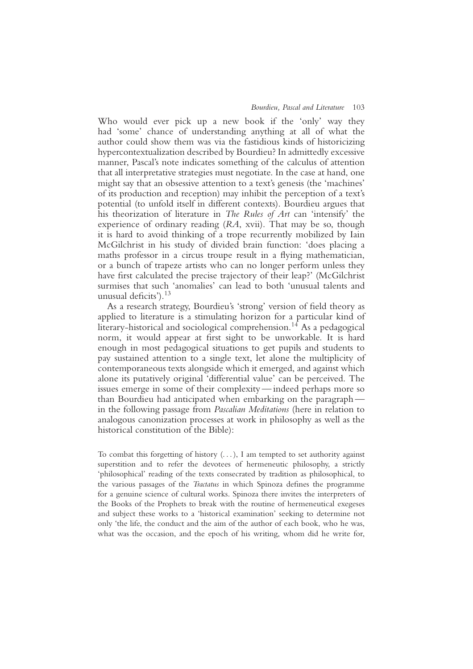Who would ever pick up a new book if the 'only' way they had 'some' chance of understanding anything at all of what the author could show them was via the fastidious kinds of historicizing hypercontextualization described by Bourdieu? In admittedly excessive manner, Pascal's note indicates something of the calculus of attention that all interpretative strategies must negotiate. In the case at hand, one might say that an obsessive attention to a text's genesis (the 'machines' of its production and reception) may inhibit the perception of a text's potential (to unfold itself in different contexts). Bourdieu argues that his theorization of literature in *The Rules of Art* can 'intensify' the experience of ordinary reading (*RA*, xvii). That may be so, though it is hard to avoid thinking of a trope recurrently mobilized by Iain McGilchrist in his study of divided brain function: 'does placing a maths professor in a circus troupe result in a flying mathematician, or a bunch of trapeze artists who can no longer perform unless they have first calculated the precise trajectory of their leap?' (McGilchrist surmises that such 'anomalies' can lead to both 'unusual talents and unusual deficits').13

As a research strategy, Bourdieu's 'strong' version of field theory as applied to literature is a stimulating horizon for a particular kind of literary-historical and sociological comprehension.<sup>14</sup> As a pedagogical norm, it would appear at first sight to be unworkable. It is hard enough in most pedagogical situations to get pupils and students to pay sustained attention to a single text, let alone the multiplicity of contemporaneous texts alongside which it emerged, and against which alone its putatively original 'differential value' can be perceived. The issues emerge in some of their complexity— indeed perhaps more so than Bourdieu had anticipated when embarking on the paragraph in the following passage from *Pascalian Meditations* (here in relation to analogous canonization processes at work in philosophy as well as the historical constitution of the Bible):

To combat this forgetting of history  $(\ldots)$ , I am tempted to set authority against superstition and to refer the devotees of hermeneutic philosophy, a strictly 'philosophical' reading of the texts consecrated by tradition as philosophical, to the various passages of the *Tractatus* in which Spinoza defines the programme for a genuine science of cultural works. Spinoza there invites the interpreters of the Books of the Prophets to break with the routine of hermeneutical exegeses and subject these works to a 'historical examination' seeking to determine not only 'the life, the conduct and the aim of the author of each book, who he was, what was the occasion, and the epoch of his writing, whom did he write for,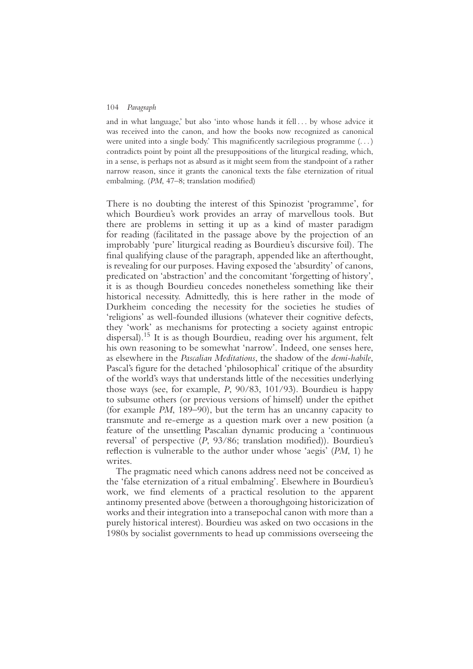and in what language,' but also 'into whose hands it fell . . . by whose advice it was received into the canon, and how the books now recognized as canonical were united into a single body.' This magnificently sacrilegious programme  $(\dots)$ contradicts point by point all the presuppositions of the liturgical reading, which, in a sense, is perhaps not as absurd as it might seem from the standpoint of a rather narrow reason, since it grants the canonical texts the false eternization of ritual embalming. (*PM*, 47–8; translation modified)

There is no doubting the interest of this Spinozist 'programme', for which Bourdieu's work provides an array of marvellous tools. But there are problems in setting it up as a kind of master paradigm for reading (facilitated in the passage above by the projection of an improbably 'pure' liturgical reading as Bourdieu's discursive foil). The final qualifying clause of the paragraph, appended like an afterthought, is revealing for our purposes. Having exposed the 'absurdity' of canons, predicated on 'abstraction' and the concomitant 'forgetting of history', it is as though Bourdieu concedes nonetheless something like their historical necessity. Admittedly, this is here rather in the mode of Durkheim conceding the necessity for the societies he studies of 'religions' as well-founded illusions (whatever their cognitive defects, they 'work' as mechanisms for protecting a society against entropic dispersal).15 It is as though Bourdieu, reading over his argument, felt his own reasoning to be somewhat 'narrow'. Indeed, one senses here, as elsewhere in the *Pascalian Meditations*, the shadow of the *demi-habile*, Pascal's figure for the detached 'philosophical' critique of the absurdity of the world's ways that understands little of the necessities underlying those ways (see, for example, *P*, 90/83, 101/93). Bourdieu is happy to subsume others (or previous versions of himself) under the epithet (for example *PM*, 189–90), but the term has an uncanny capacity to transmute and re-emerge as a question mark over a new position (a feature of the unsettling Pascalian dynamic producing a 'continuous reversal' of perspective (*P*, 93/86; translation modified)). Bourdieu's reflection is vulnerable to the author under whose 'aegis' (*PM*, 1) he writes.

The pragmatic need which canons address need not be conceived as the 'false eternization of a ritual embalming'. Elsewhere in Bourdieu's work, we find elements of a practical resolution to the apparent antinomy presented above (between a thoroughgoing historicization of works and their integration into a transepochal canon with more than a purely historical interest). Bourdieu was asked on two occasions in the 1980s by socialist governments to head up commissions overseeing the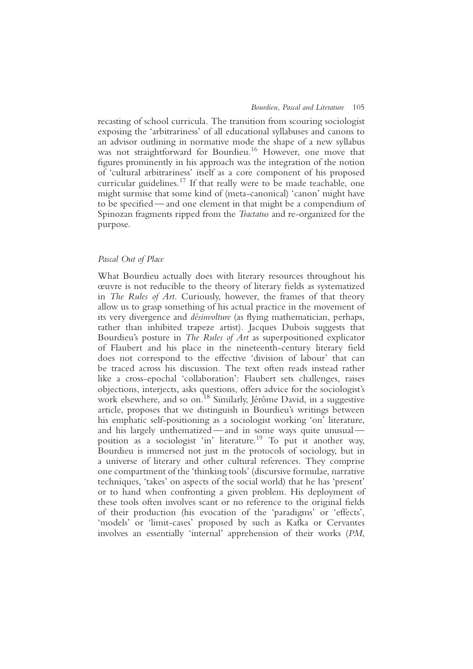recasting of school curricula. The transition from scouring sociologist exposing the 'arbitrariness' of all educational syllabuses and canons to an advisor outlining in normative mode the shape of a new syllabus was not straightforward for Bourdieu.<sup>16</sup> However, one move that figures prominently in his approach was the integration of the notion of 'cultural arbitrariness' itself as a core component of his proposed curricular guidelines.<sup>17</sup> If that really were to be made teachable, one might surmise that some kind of (meta-canonical) 'canon' might have to be specified— and one element in that might be a compendium of Spinozan fragments ripped from the *Tractatus* and re-organized for the purpose.

#### *Pascal Out of Place*

What Bourdieu actually does with literary resources throughout his œuvre is not reducible to the theory of literary fields as systematized in *The Rules of Art*. Curiously, however, the frames of that theory allow us to grasp something of his actual practice in the movement of its very divergence and *désinvolture* (as flying mathematician, perhaps, rather than inhibited trapeze artist). Jacques Dubois suggests that Bourdieu's posture in *The Rules of Art* as superpositioned explicator of Flaubert and his place in the nineteenth-century literary field does not correspond to the effective 'division of labour' that can be traced across his discussion. The text often reads instead rather like a cross-epochal 'collaboration': Flaubert sets challenges, raises objections, interjects, asks questions, offers advice for the sociologist's work elsewhere, and so on.<sup>18</sup> Similarly, Jérôme David, in a suggestive article, proposes that we distinguish in Bourdieu's writings between his emphatic self-positioning as a sociologist working 'on' literature, and his largely unthematized— and in some ways quite unusual position as a sociologist 'in' literature.19 To put it another way, Bourdieu is immersed not just in the protocols of sociology, but in a universe of literary and other cultural references. They comprise one compartment of the 'thinking tools' (discursive formulae, narrative techniques, 'takes' on aspects of the social world) that he has 'present' or to hand when confronting a given problem. His deployment of these tools often involves scant or no reference to the original fields of their production (his evocation of the 'paradigms' or 'effects', 'models' or 'limit-cases' proposed by such as Kafka or Cervantes involves an essentially 'internal' apprehension of their works (*PM*,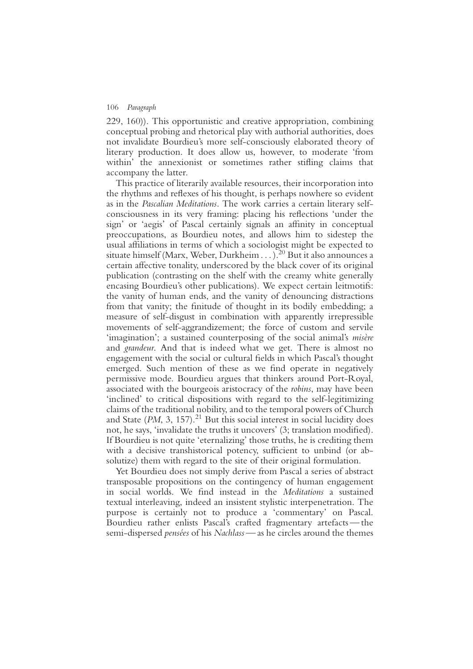229, 160)). This opportunistic and creative appropriation, combining conceptual probing and rhetorical play with authorial authorities, does not invalidate Bourdieu's more self-consciously elaborated theory of literary production. It does allow us, however, to moderate 'from within' the annexionist or sometimes rather stifling claims that accompany the latter.

This practice of literarily available resources, their incorporation into the rhythms and reflexes of his thought, is perhaps nowhere so evident as in the *Pascalian Meditations*. The work carries a certain literary selfconsciousness in its very framing: placing his reflections 'under the sign' or 'aegis' of Pascal certainly signals an affinity in conceptual preoccupations, as Bourdieu notes, and allows him to sidestep the usual affiliations in terms of which a sociologist might be expected to situate himself (Marx, Weber, Durkheim . . . ).<sup>20</sup> But it also announces a certain affective tonality, underscored by the black cover of its original publication (contrasting on the shelf with the creamy white generally encasing Bourdieu's other publications). We expect certain leitmotifs: the vanity of human ends, and the vanity of denouncing distractions from that vanity; the finitude of thought in its bodily embedding; a measure of self-disgust in combination with apparently irrepressible movements of self-aggrandizement; the force of custom and servile 'imagination'; a sustained counterposing of the social animal's *misère* and *grandeur*. And that is indeed what we get. There is almost no engagement with the social or cultural fields in which Pascal's thought emerged. Such mention of these as we find operate in negatively permissive mode. Bourdieu argues that thinkers around Port-Royal, associated with the bourgeois aristocracy of the *robins*, may have been 'inclined' to critical dispositions with regard to the self-legitimizing claims of the traditional nobility, and to the temporal powers of Church and State  $(PM, 3, 157)$ .<sup>21</sup> But this social interest in social lucidity does not, he says, 'invalidate the truths it uncovers' (3; translation modified). If Bourdieu is not quite 'eternalizing' those truths, he is crediting them with a decisive transhistorical potency, sufficient to unbind (or absolutize) them with regard to the site of their original formulation.

Yet Bourdieu does not simply derive from Pascal a series of abstract transposable propositions on the contingency of human engagement in social worlds. We find instead in the *Meditations* a sustained textual interleaving, indeed an insistent stylistic interpenetration. The purpose is certainly not to produce a 'commentary' on Pascal. Bourdieu rather enlists Pascal's crafted fragmentary artefacts— the semi-dispersed *pensées* of his *Nachlass* — as he circles around the themes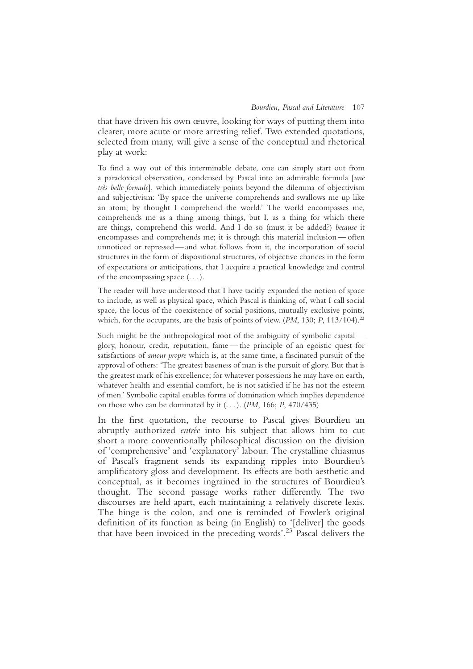that have driven his own œuvre, looking for ways of putting them into clearer, more acute or more arresting relief. Two extended quotations, selected from many, will give a sense of the conceptual and rhetorical play at work:

To find a way out of this interminable debate, one can simply start out from a paradoxical observation, condensed by Pascal into an admirable formula [*une très belle formule*], which immediately points beyond the dilemma of objectivism and subjectivism: 'By space the universe comprehends and swallows me up like an atom; by thought I comprehend the world.' The world encompasses me, comprehends me as a thing among things, but I, as a thing for which there are things, comprehend this world. And I do so (must it be added?) *because* it encompasses and comprehends me; it is through this material inclusion— often unnoticed or repressed— and what follows from it, the incorporation of social structures in the form of dispositional structures, of objective chances in the form of expectations or anticipations, that I acquire a practical knowledge and control of the encompassing space (. . . ).

The reader will have understood that I have tacitly expanded the notion of space to include, as well as physical space, which Pascal is thinking of, what I call social space, the locus of the coexistence of social positions, mutually exclusive points, which, for the occupants, are the basis of points of view. (*PM*, 130; *P*, 113/104).<sup>22</sup>

Such might be the anthropological root of the ambiguity of symbolic capital glory, honour, credit, reputation, fame — the principle of an egoistic quest for satisfactions of *amour propre* which is, at the same time, a fascinated pursuit of the approval of others: 'The greatest baseness of man is the pursuit of glory. But that is the greatest mark of his excellence; for whatever possessions he may have on earth, whatever health and essential comfort, he is not satisfied if he has not the esteem of men.' Symbolic capital enables forms of domination which implies dependence on those who can be dominated by it (. . . ). (*PM*, 166; *P*, 470/435)

In the first quotation, the recourse to Pascal gives Bourdieu an abruptly authorized *entrée* into his subject that allows him to cut short a more conventionally philosophical discussion on the division of 'comprehensive' and 'explanatory' labour. The crystalline chiasmus of Pascal's fragment sends its expanding ripples into Bourdieu's amplificatory gloss and development. Its effects are both aesthetic and conceptual, as it becomes ingrained in the structures of Bourdieu's thought. The second passage works rather differently. The two discourses are held apart, each maintaining a relatively discrete lexis. The hinge is the colon, and one is reminded of Fowler's original definition of its function as being (in English) to '[deliver] the goods that have been invoiced in the preceding words'.23 Pascal delivers the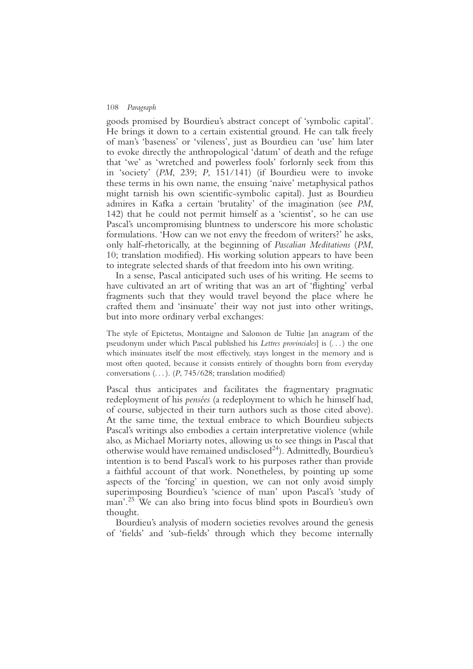goods promised by Bourdieu's abstract concept of 'symbolic capital'. He brings it down to a certain existential ground. He can talk freely of man's 'baseness' or 'vileness', just as Bourdieu can 'use' him later to evoke directly the anthropological 'datum' of death and the refuge that 'we' as 'wretched and powerless fools' forlornly seek from this in 'society' (*PM*, 239; *P*, 151/141) (if Bourdieu were to invoke these terms in his own name, the ensuing 'naive' metaphysical pathos might tarnish his own scientific-symbolic capital). Just as Bourdieu admires in Kafka a certain 'brutality' of the imagination (see *PM*, 142) that he could not permit himself as a 'scientist', so he can use Pascal's uncompromising bluntness to underscore his more scholastic formulations. 'How can we not envy the freedom of writers?' he asks, only half-rhetorically, at the beginning of *Pascalian Meditations* (*PM*, 10; translation modified). His working solution appears to have been to integrate selected shards of that freedom into his own writing.

In a sense, Pascal anticipated such uses of his writing. He seems to have cultivated an art of writing that was an art of 'flighting' verbal fragments such that they would travel beyond the place where he crafted them and 'insinuate' their way not just into other writings, but into more ordinary verbal exchanges:

The style of Epictetus, Montaigne and Salomon de Tultie [an anagram of the pseudonym under which Pascal published his *Lettres provinciales*] is (. . . ) the one which insinuates itself the most effectively, stays longest in the memory and is most often quoted, because it consists entirely of thoughts born from everyday conversations (. . . ). (*P*, 745/628; translation modified)

Pascal thus anticipates and facilitates the fragmentary pragmatic redeployment of his *pensées* (a redeployment to which he himself had, of course, subjected in their turn authors such as those cited above). At the same time, the textual embrace to which Bourdieu subjects Pascal's writings also embodies a certain interpretative violence (while also, as Michael Moriarty notes, allowing us to see things in Pascal that otherwise would have remained undisclosed<sup>24</sup>). Admittedly, Bourdieu's intention is to bend Pascal's work to his purposes rather than provide a faithful account of that work. Nonetheless, by pointing up some aspects of the 'forcing' in question, we can not only avoid simply superimposing Bourdieu's 'science of man' upon Pascal's 'study of man'.25 We can also bring into focus blind spots in Bourdieu's own thought.

Bourdieu's analysis of modern societies revolves around the genesis of 'fields' and 'sub-fields' through which they become internally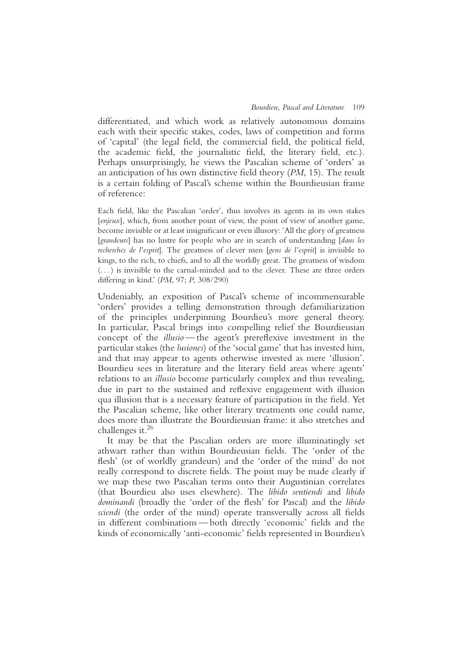differentiated, and which work as relatively autonomous domains each with their specific stakes, codes, laws of competition and forms of 'capital' (the legal field, the commercial field, the political field, the academic field, the journalistic field, the literary field, etc.). Perhaps unsurprisingly, he views the Pascalian scheme of 'orders' as an anticipation of his own distinctive field theory (*PM*, 15). The result is a certain folding of Pascal's scheme within the Bourdieusian frame of reference:

Each field, like the Pascalian 'order', thus involves its agents in its own stakes [*enjeux*], which, from another point of view, the point of view of another game, become invisible or at least insignificant or even illusory: 'All the glory of greatness [*grandeurs*] has no lustre for people who are in search of understanding [*dans les recherches de l'esprit*]. The greatness of clever men [*gens de l'esprit*] is invisible to kings, to the rich, to chiefs, and to all the worldly great. The greatness of wisdom (. . . ) is invisible to the carnal-minded and to the clever. These are three orders differing in kind.' (*PM*, 97; *P*, 308/290)

Undeniably, an exposition of Pascal's scheme of incommensurable 'orders' provides a telling demonstration through defamiliarization of the principles underpinning Bourdieu's more general theory. In particular, Pascal brings into compelling relief the Bourdieusian concept of the *illusio* — the agent's prereflexive investment in the particular stakes (the *lusiones*) of the 'social game' that has invested him, and that may appear to agents otherwise invested as mere 'illusion'. Bourdieu sees in literature and the literary field areas where agents' relations to an *illusio* become particularly complex and thus revealing, due in part to the sustained and reflexive engagement with illusion qua illusion that is a necessary feature of participation in the field. Yet the Pascalian scheme, like other literary treatments one could name, does more than illustrate the Bourdieusian frame: it also stretches and challenges it.26

It may be that the Pascalian orders are more illuminatingly set athwart rather than within Bourdieusian fields. The 'order of the flesh' (or of worldly grandeurs) and the 'order of the mind' do not really correspond to discrete fields. The point may be made clearly if we map these two Pascalian terms onto their Augustinian correlates (that Bourdieu also uses elsewhere). The *libido sentiendi* and *libido dominandi* (broadly the 'order of the flesh' for Pascal) and the *libido sciendi* (the order of the mind) operate transversally across all fields in different combinations— both directly 'economic' fields and the kinds of economically 'anti-economic' fields represented in Bourdieu's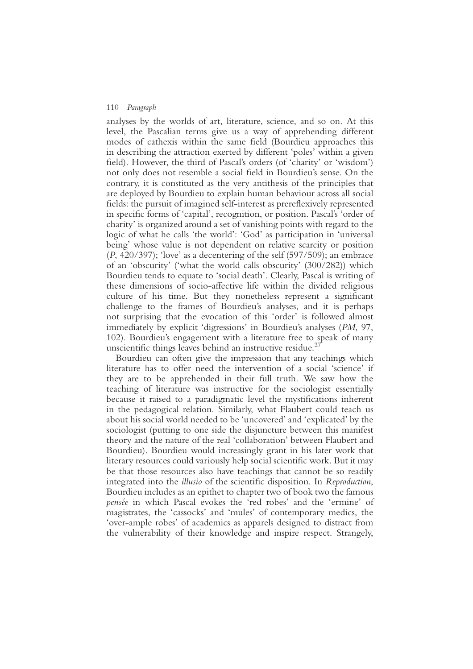analyses by the worlds of art, literature, science, and so on. At this level, the Pascalian terms give us a way of apprehending different modes of cathexis within the same field (Bourdieu approaches this in describing the attraction exerted by different 'poles' within a given field). However, the third of Pascal's orders (of 'charity' or 'wisdom') not only does not resemble a social field in Bourdieu's sense. On the contrary, it is constituted as the very antithesis of the principles that are deployed by Bourdieu to explain human behaviour across all social fields: the pursuit of imagined self-interest as prereflexively represented in specific forms of 'capital', recognition, or position. Pascal's 'order of charity' is organized around a set of vanishing points with regard to the logic of what he calls 'the world': 'God' as participation in 'universal being' whose value is not dependent on relative scarcity or position (*P*, 420/397); 'love' as a decentering of the self (597/509); an embrace of an 'obscurity' ('what the world calls obscurity' (300/282)) which Bourdieu tends to equate to 'social death'. Clearly, Pascal is writing of these dimensions of socio-affective life within the divided religious culture of his time. But they nonetheless represent a significant challenge to the frames of Bourdieu's analyses, and it is perhaps not surprising that the evocation of this 'order' is followed almost immediately by explicit 'digressions' in Bourdieu's analyses (*PM*, 97, 102). Bourdieu's engagement with a literature free to speak of many unscientific things leaves behind an instructive residue.<sup>27</sup>

Bourdieu can often give the impression that any teachings which literature has to offer need the intervention of a social 'science' if they are to be apprehended in their full truth. We saw how the teaching of literature was instructive for the sociologist essentially because it raised to a paradigmatic level the mystifications inherent in the pedagogical relation. Similarly, what Flaubert could teach us about his social world needed to be 'uncovered' and 'explicated' by the sociologist (putting to one side the disjuncture between this manifest theory and the nature of the real 'collaboration' between Flaubert and Bourdieu). Bourdieu would increasingly grant in his later work that literary resources could variously help social scientific work. But it may be that those resources also have teachings that cannot be so readily integrated into the *illusio* of the scientific disposition. In *Reproduction*, Bourdieu includes as an epithet to chapter two of book two the famous *pensée* in which Pascal evokes the 'red robes' and the 'ermine' of magistrates, the 'cassocks' and 'mules' of contemporary medics, the 'over-ample robes' of academics as apparels designed to distract from the vulnerability of their knowledge and inspire respect. Strangely,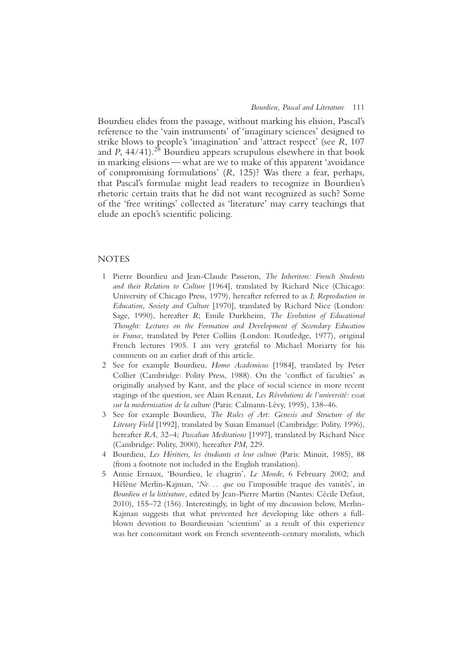Bourdieu elides from the passage, without marking his elision, Pascal's reference to the 'vain instruments' of 'imaginary sciences' designed to strike blows to people's 'imagination' and 'attract respect' (see *R*, 107 and  $P$ ,  $44/41$ ).<sup>28</sup> Bourdieu appears scrupulous elsewhere in that book in marking elisions— what are we to make of this apparent 'avoidance of compromising formulations' (*R*, 125)? Was there a fear, perhaps, that Pascal's formulae might lead readers to recognize in Bourdieu's rhetoric certain traits that he did not want recognized as such? Some of the 'free writings' collected as 'literature' may carry teachings that elude an epoch's scientific policing.

#### **NOTES**

- 1 Pierre Bourdieu and Jean-Claude Passeron, *The Inheritors: French Students and their Relation to Culture* [1964], translated by Richard Nice (Chicago: University of Chicago Press, 1979), hereafter referred to as *I*; *Reproduction in Education, Society and Culture* [1970], translated by Richard Nice (London: Sage, 1990), hereafter *R*; Emile Durkheim, *The Evolution of Educational Thought: Lectures on the Formation and Development of Secondary Education in France*, translated by Peter Collins (London: Routledge, 1977), original French lectures 1905. I am very grateful to Michael Moriarty for his comments on an earlier draft of this article.
- 2 See for example Bourdieu, *Homo Academicus* [1984], translated by Peter Collier (Cambridge: Polity Press, 1988). On the 'conflict of faculties' as originally analysed by Kant, and the place of social science in more recent stagings of the question, see Alain Renaut, *Les Révolutions de l'université: essai sur la modernisation de la culture* (Paris: Calmann-Lévy, 1995), 138–46.
- 3 See for example Bourdieu, *The Rules of Art: Genesis and Structure of the Literary Field* [1992], translated by Susan Emanuel (Cambridge: Polity, 1996), hereafter *RA*, 32–4; *Pascalian Meditations* [1997], translated by Richard Nice (Cambridge: Polity, 2000), hereafter *PM*, 229.
- 4 Bourdieu, *Les Héritiers, les étudiants et leur culture* (Paris: Minuit, 1985), 88 (from a footnote not included in the English translation).
- 5 Annie Ernaux, 'Bourdieu, le chagrin', *Le Monde*, 6 February 2002; and Hélène Merlin-Kajman, '*Ne. . . que* ou l'impossible traque des vanités', in *Bourdieu et la littérature*, edited by Jean-Pierre Martin (Nantes: Cécile Defaut, 2010), 155–72 (156). Interestingly, in light of my discussion below, Merlin-Kajman suggests that what prevented her developing like others a fullblown devotion to Bourdieusian 'scientism' as a result of this experience was her concomitant work on French seventeenth-century moralists, which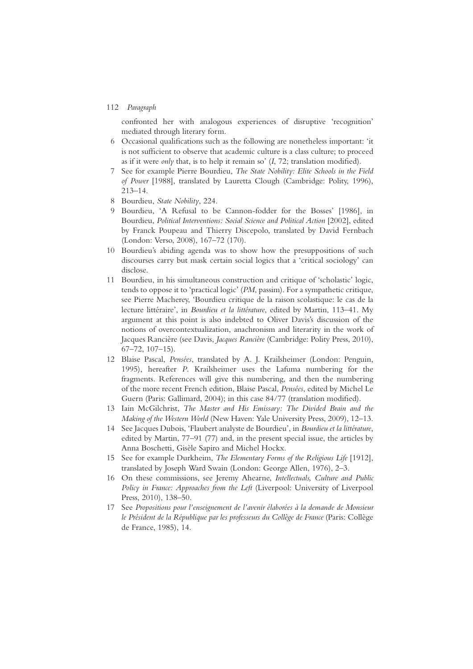confronted her with analogous experiences of disruptive 'recognition' mediated through literary form.

- 6 Occasional qualifications such as the following are nonetheless important: 'it is not sufficient to observe that academic culture is a class culture; to proceed as if it were *only* that, is to help it remain so' (*I*, 72; translation modified).
- 7 See for example Pierre Bourdieu, *The State Nobility: Elite Schools in the Field of Power* [1988], translated by Lauretta Clough (Cambridge: Polity, 1996), 213–14.
- 8 Bourdieu, *State Nobility*, 224.
- 9 Bourdieu, 'A Refusal to be Cannon-fodder for the Bosses' [1986], in Bourdieu, *Political Interventions: Social Science and Political Action* [2002], edited by Franck Poupeau and Thierry Discepolo, translated by David Fernbach (London: Verso, 2008), 167–72 (170).
- 10 Bourdieu's abiding agenda was to show how the presuppositions of such discourses carry but mask certain social logics that a 'critical sociology' can disclose.
- 11 Bourdieu, in his simultaneous construction and critique of 'scholastic' logic, tends to oppose it to 'practical logic' (*PM*, passim). For a sympathetic critique, see Pierre Macherey, 'Bourdieu critique de la raison scolastique: le cas de la lecture littéraire', in *Bourdieu et la littérature*, edited by Martin, 113–41. My argument at this point is also indebted to Oliver Davis's discussion of the notions of overcontextualization, anachronism and literarity in the work of Jacques Rancière (see Davis, *Jacques Rancière* (Cambridge: Polity Press, 2010), 67–72, 107–15).
- 12 Blaise Pascal, *Pensées*, translated by A. J. Krailsheimer (London: Penguin, 1995), hereafter *P*. Krailsheimer uses the Lafuma numbering for the fragments. References will give this numbering, and then the numbering of the more recent French edition, Blaise Pascal, *Pensées*, edited by Michel Le Guern (Paris: Gallimard, 2004); in this case 84/77 (translation modified).
- 13 Iain McGilchrist, *The Master and His Emissary: The Divided Brain and the Making of the Western World* (New Haven: Yale University Press, 2009), 12–13.
- 14 See Jacques Dubois, 'Flaubert analyste de Bourdieu', in *Bourdieu et la littérature*, edited by Martin, 77–91 (77) and, in the present special issue, the articles by Anna Boschetti, Gisèle Sapiro and Michel Hockx.
- 15 See for example Durkheim, *The Elementary Forms of the Religious Life* [1912], translated by Joseph Ward Swain (London: George Allen, 1976), 2–3.
- 16 On these commissions, see Jeremy Ahearne, *Intellectuals, Culture and Public Policy in France: Approaches from the Left* (Liverpool: University of Liverpool Press, 2010), 138–50.
- 17 See *Propositions pour l'enseignement de l'avenir élaborées à la demande de Monsieur le Président de la République par les professeurs du Collège de France* (Paris: Collège de France, 1985), 14.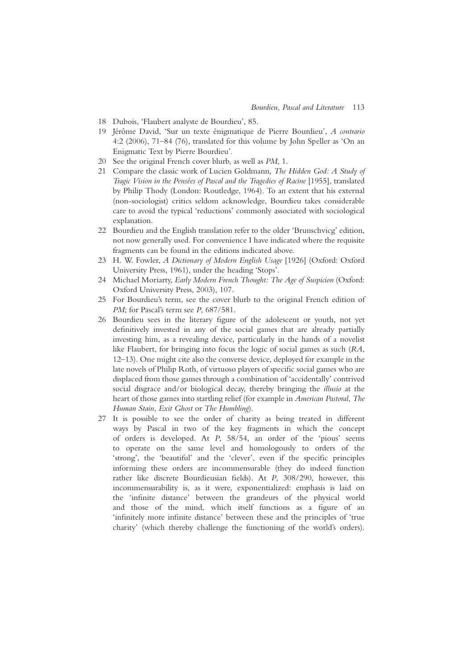- 18 Dubois, 'Flaubert analyste de Bourdieu', 85.
- 19 Jérôme David, 'Sur un texte énigmatique de Pierre Bourdieu', *A contrario* 4:2 (2006), 71–84 (76), translated for this volume by John Speller as 'On an Enigmatic Text by Pierre Bourdieu'.
- 20 See the original French cover blurb, as well as *PM*, 1.
- 21 Compare the classic work of Lucien Goldmann, *The Hidden God: A Study of Tragic Vision in the Pensées of Pascal and the Tragedies of Racine* [1955], translated by Philip Thody (London: Routledge, 1964). To an extent that his external (non-sociologist) critics seldom acknowledge, Bourdieu takes considerable care to avoid the typical 'reductions' commonly associated with sociological explanation.
- 22 Bourdieu and the English translation refer to the older 'Brunschvicg' edition, not now generally used. For convenience I have indicated where the requisite fragments can be found in the editions indicated above.
- 23 H. W. Fowler, *A Dictionary of Modern English Usage* [1926] (Oxford: Oxford University Press, 1961), under the heading 'Stops'.
- 24 Michael Moriarty, *Early Modern French Thought: The Age of Suspicion* (Oxford: Oxford University Press, 2003), 107.
- 25 For Bourdieu's term, see the cover blurb to the original French edition of *PM*; for Pascal's term see *P*, 687/581.
- 26 Bourdieu sees in the literary figure of the adolescent or youth, not yet definitively invested in any of the social games that are already partially investing him, as a revealing device, particularly in the hands of a novelist like Flaubert, for bringing into focus the logic of social games as such (*RA*, 12–13). One might cite also the converse device, deployed for example in the late novels of Philip Roth, of virtuoso players of specific social games who are displaced from those games through a combination of 'accidentally' contrived social disgrace and/or biological decay, thereby bringing the *illusio* at the heart of those games into startling relief (for example in *American Pastoral*, *The Human Stain*, *Exit Ghost* or *The Humbling*).
- 27 It is possible to see the order of charity as being treated in different ways by Pascal in two of the key fragments in which the concept of orders is developed. At *P*, 58/54, an order of the 'pious' seems to operate on the same level and homologously to orders of the 'strong', the 'beautiful' and the 'clever', even if the specific principles informing these orders are incommensurable (they do indeed function rather like discrete Bourdieusian fields). At *P*, 308/290, however, this incommensurability is, as it were, exponentialized: emphasis is laid on the 'infinite distance' between the grandeurs of the physical world and those of the mind, which itself functions as a figure of an 'infinitely more infinite distance' between these and the principles of 'true charity' (which thereby challenge the functioning of the world's orders).